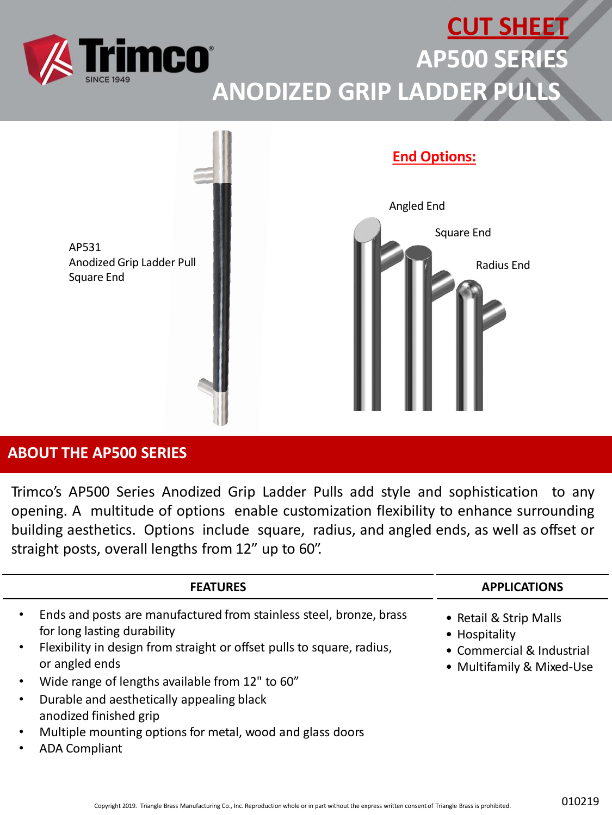



## **ABOUT THE AP500 SERIES**

Trimco's AP500 Series Anodized Grip Ladder Pulls add style and sophistication to any opening. A multitude of options enable customization flexibility to enhance surrounding building aesthetics. Options include square, radius, and angled ends, as well as offset or straight posts, overall lengths from 12" up to 60".

| <b>FEATURES</b>                                                                                                                                                                                                                                                          | <b>APPLICATIONS</b>                                                                               |
|--------------------------------------------------------------------------------------------------------------------------------------------------------------------------------------------------------------------------------------------------------------------------|---------------------------------------------------------------------------------------------------|
| Ends and posts are manufactured from stainless steel, bronze, brass<br>$\bullet$<br>for long lasting durability<br>Flexibility in design from straight or offset pulls to square, radius,<br>٠<br>or angled ends<br>Wide range of lengths available from 12" to 60"<br>٠ | • Retail & Strip Malls<br>• Hospitality<br>• Commercial & Industrial<br>• Multifamily & Mixed-Use |
| Durable and aesthetically appealing black<br>٠<br>anodized finished grip<br>Multiple mounting options for metal, wood and glass doors<br>٠<br><b>ADA Compliant</b><br>٠                                                                                                  |                                                                                                   |